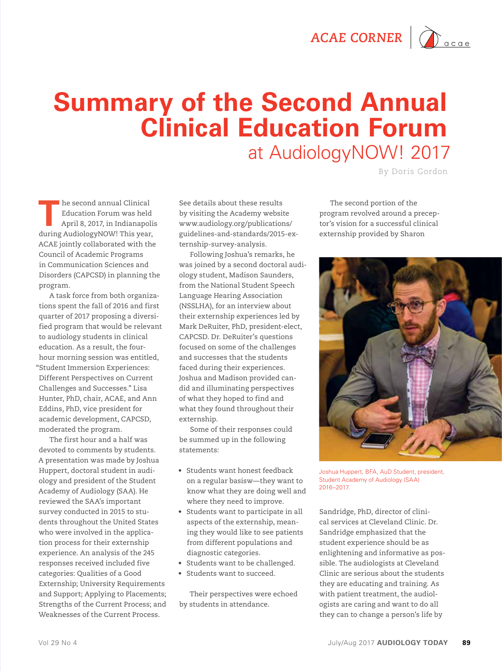

## **Summary of the Second Annual Clinical Education Forum**  at AudiologyNOW! 2017

By Doris Gordon

**T** he second annual Clinical<br>
Education Forum was held<br>
April 8, 2017, in Indianapolis<br>
during Audielogy NOW This was Education Forum was held during AudiologyNOW! This year, ACAE jointly collaborated with the Council of Academic Programs in Communication Sciences and Disorders (CAPCSD) in planning the program.

A task force from both organizations spent the fall of 2016 and first quarter of 2017 proposing a diversified program that would be relevant to audiology students in clinical education. As a result, the fourhour morning session was entitled, "Student Immersion Experiences: Different Perspectives on Current Challenges and Successes." Lisa Hunter, PhD, chair, ACAE, and Ann Eddins, PhD, vice president for academic development, CAPCSD, moderated the program.

The first hour and a half was devoted to comments by students. A presentation was made by Joshua Huppert, doctoral student in audiology and president of the Student Academy of Audiology (SAA). He reviewed the SAA's important survey conducted in 2015 to students throughout the United States who were involved in the application process for their externship experience. An analysis of the 245 responses received included five categories: Qualities of a Good Externship; University Requirements and Support; Applying to Placements; Strengths of the Current Process; and Weaknesses of the Current Process.

See details about these results by visiting the Academy website www.audiology.org/publications/ guidelines-and-standards/2015-externship-survey-analysis.

Following Joshua's remarks, he was joined by a second doctoral audiology student, Madison Saunders, from the National Student Speech Language Hearing Association (NSSLHA), for an interview about their externship experiences led by Mark DeRuiter, PhD, president-elect, CAPCSD. Dr. DeRuiter's questions focused on some of the challenges and successes that the students faced during their experiences. Joshua and Madison provided candid and illuminating perspectives of what they hoped to find and what they found throughout their externship.

Some of their responses could be summed up in the following statements:

- • Students want honest feedback on a regular basisw—they want to know what they are doing well and where they need to improve.
- • Students want to participate in all aspects of the externship, meaning they would like to see patients from different populations and diagnostic categories.
- • Students want to be challenged.
- • Students want to succeed.

Their perspectives were echoed by students in attendance.

The second portion of the program revolved around a preceptor's vision for a successful clinical externship provided by Sharon



Joshua Huppert, BFA, AuD Student, president, Student Academy of Audiology (SAA) 2016–2017.

Sandridge, PhD, director of clinical services at Cleveland Clinic. Dr. Sandridge emphasized that the student experience should be as enlightening and informative as possible. The audiologists at Cleveland Clinic are serious about the students they are educating and training. As with patient treatment, the audiologists are caring and want to do all they can to change a person's life by